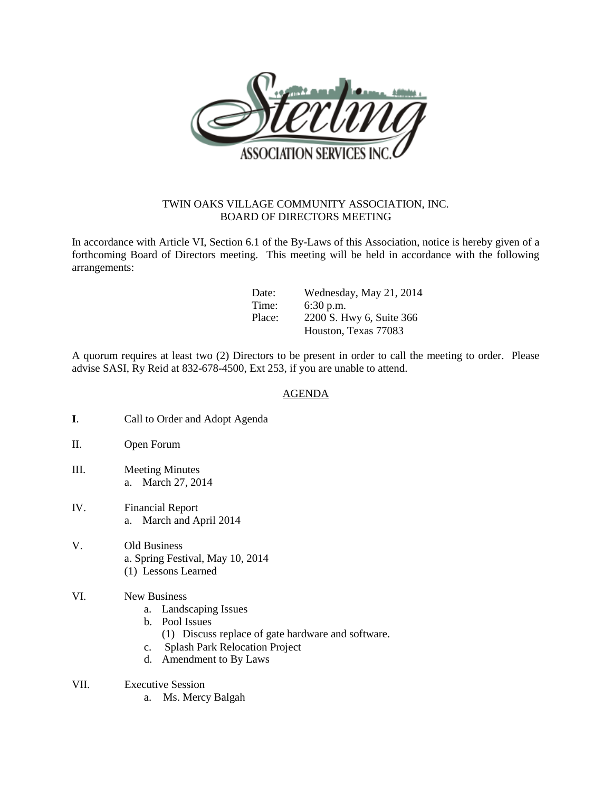

## TWIN OAKS VILLAGE COMMUNITY ASSOCIATION, INC. BOARD OF DIRECTORS MEETING

In accordance with Article VI, Section 6.1 of the By-Laws of this Association, notice is hereby given of a forthcoming Board of Directors meeting. This meeting will be held in accordance with the following arrangements:

| Date:  | Wednesday, May 21, 2014  |
|--------|--------------------------|
| Time:  | $6:30$ p.m.              |
| Place: | 2200 S. Hwy 6, Suite 366 |
|        | Houston, Texas 77083     |

A quorum requires at least two (2) Directors to be present in order to call the meeting to order. Please advise SASI, Ry Reid at 832-678-4500, Ext 253, if you are unable to attend.

## AGENDA

- **I**. Call to Order and Adopt Agenda
- II. Open Forum
- III. Meeting Minutes a. March 27, 2014
- IV. Financial Report a. March and April 2014
- V. Old Business a. Spring Festival, May 10, 2014 (1) Lessons Learned
- VI. New Business
	- a. Landscaping Issues
	- b. Pool Issues
		- (1) Discuss replace of gate hardware and software.
	- c. Splash Park Relocation Project
	- d. Amendment to By Laws
- VII. Executive Session
	- a. Ms. Mercy Balgah